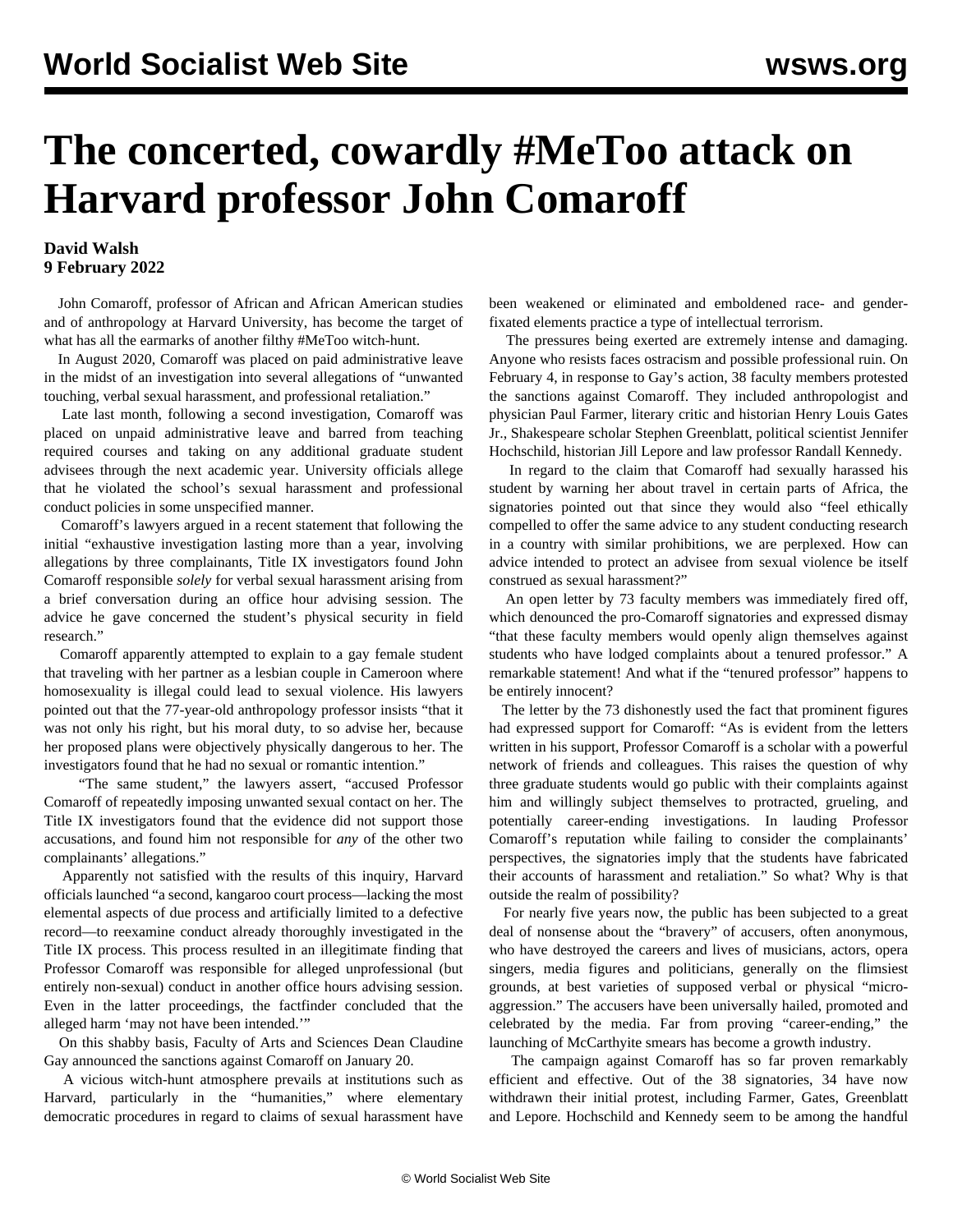## **The concerted, cowardly #MeToo attack on Harvard professor John Comaroff**

## **David Walsh 9 February 2022**

 John Comaroff, professor of African and African American studies and of anthropology at Harvard University, has become the target of what has all the earmarks of another filthy #MeToo witch-hunt.

 In August 2020, Comaroff was placed on paid administrative leave in the midst of an investigation into several allegations of "unwanted touching, verbal sexual harassment, and professional retaliation."

 Late last month, following a second investigation, Comaroff was placed on unpaid administrative leave and barred from teaching required courses and taking on any additional graduate student advisees through the next academic year. University officials allege that he violated the school's sexual harassment and professional conduct policies in some unspecified manner.

 Comaroff's lawyers argued in a recent statement that following the initial "exhaustive investigation lasting more than a year, involving allegations by three complainants, Title IX investigators found John Comaroff responsible *solely* for verbal sexual harassment arising from a brief conversation during an office hour advising session. The advice he gave concerned the student's physical security in field research."

 Comaroff apparently attempted to explain to a gay female student that traveling with her partner as a lesbian couple in Cameroon where homosexuality is illegal could lead to sexual violence. His lawyers pointed out that the 77-year-old anthropology professor insists "that it was not only his right, but his moral duty, to so advise her, because her proposed plans were objectively physically dangerous to her. The investigators found that he had no sexual or romantic intention."

 "The same student," the lawyers assert, "accused Professor Comaroff of repeatedly imposing unwanted sexual contact on her. The Title IX investigators found that the evidence did not support those accusations, and found him not responsible for *any* of the other two complainants' allegations."

 Apparently not satisfied with the results of this inquiry, Harvard officials launched "a second, kangaroo court process—lacking the most elemental aspects of due process and artificially limited to a defective record—to reexamine conduct already thoroughly investigated in the Title IX process. This process resulted in an illegitimate finding that Professor Comaroff was responsible for alleged unprofessional (but entirely non-sexual) conduct in another office hours advising session. Even in the latter proceedings, the factfinder concluded that the alleged harm 'may not have been intended.'"

 On this shabby basis, Faculty of Arts and Sciences Dean Claudine Gay announced the sanctions against Comaroff on January 20.

 A vicious witch-hunt atmosphere prevails at institutions such as Harvard, particularly in the "humanities," where elementary democratic procedures in regard to claims of sexual harassment have been weakened or eliminated and emboldened race- and genderfixated elements practice a type of intellectual terrorism.

 The pressures being exerted are extremely intense and damaging. Anyone who resists faces ostracism and possible professional ruin. On February 4, in response to Gay's action, 38 faculty members protested the sanctions against Comaroff. They included anthropologist and physician Paul Farmer, literary critic and historian Henry Louis Gates Jr., Shakespeare scholar Stephen Greenblatt, political scientist Jennifer Hochschild, historian Jill Lepore and law professor Randall Kennedy.

 In regard to the claim that Comaroff had sexually harassed his student by warning her about travel in certain parts of Africa, the signatories pointed out that since they would also "feel ethically compelled to offer the same advice to any student conducting research in a country with similar prohibitions, we are perplexed. How can advice intended to protect an advisee from sexual violence be itself construed as sexual harassment?"

 An open letter by 73 faculty members was immediately fired off, which denounced the pro-Comaroff signatories and expressed dismay "that these faculty members would openly align themselves against students who have lodged complaints about a tenured professor." A remarkable statement! And what if the "tenured professor" happens to be entirely innocent?

 The letter by the 73 dishonestly used the fact that prominent figures had expressed support for Comaroff: "As is evident from the letters written in his support, Professor Comaroff is a scholar with a powerful network of friends and colleagues. This raises the question of why three graduate students would go public with their complaints against him and willingly subject themselves to protracted, grueling, and potentially career-ending investigations. In lauding Professor Comaroff's reputation while failing to consider the complainants' perspectives, the signatories imply that the students have fabricated their accounts of harassment and retaliation." So what? Why is that outside the realm of possibility?

 For nearly five years now, the public has been subjected to a great deal of nonsense about the "bravery" of accusers, often anonymous, who have destroyed the careers and lives of musicians, actors, opera singers, media figures and politicians, generally on the flimsiest grounds, at best varieties of supposed verbal or physical "microaggression." The accusers have been universally hailed, promoted and celebrated by the media. Far from proving "career-ending," the launching of McCarthyite smears has become a growth industry.

 The campaign against Comaroff has so far proven remarkably efficient and effective. Out of the 38 signatories, 34 have now withdrawn their initial protest, including Farmer, Gates, Greenblatt and Lepore. Hochschild and Kennedy seem to be among the handful